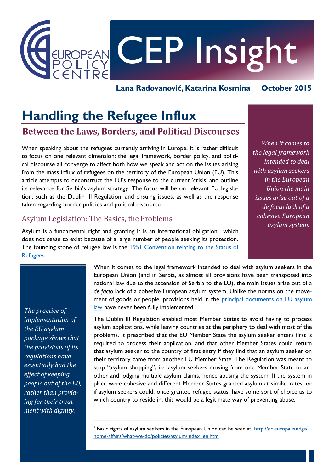

**Lana Radovanović, Katarina Kosmina October 2015**

# **Handling the Refugee Influx**

## **Between the Laws, Borders, and Political Discourses**

When speaking about the refugees currently arriving in Europe, it is rather difficult to focus on one relevant dimension: the legal framework, border policy, and political discourse all converge to affect both how we speak and act on the issues arising from the mass influx of refugees on the territory of the European Union (EU). This article attempts to deconstruct the EU's response to the current 'crisis' and outline its relevance for Serbia's asylum strategy. The focus will be on relevant EU legislation, such as the Dublin III Regulation, and ensuing issues, as well as the response taken regarding border policies and political discourse.

## Asylum Legislation: The Basics, the Problems

Asylum is a fundamental right and granting it is an international obligation,<sup>1</sup> which does not cease to exist because of a large number of people seeking its protection. The founding stone of refugee law is the 1951 Convention relating to the Status of [Refugees.](http://www.unhcr.org/pages/49da0e466.html) 

 $\_$  ,  $\_$  ,  $\_$  ,  $\_$  ,  $\_$  ,  $\_$  ,  $\_$  ,  $\_$  ,  $\_$  ,  $\_$  ,  $\_$  ,  $\_$  ,  $\_$  ,  $\_$  ,  $\_$  ,  $\_$  ,  $\_$ 

*When it comes to the legal framework intended to deal with asylum seekers in the European Union the main issues arise out of a de facto lack of a cohesive European asylum system.*

**1**

*The practice of implementation of the EU asylum package shows that the provisions of its regulations have essentially had the effect of keeping people out of the EU, rather than providing for their treatment with dignity.* 

When it comes to the legal framework intended to deal with asylum seekers in the European Union (and in Serbia, as almost all provisions have been transposed into national law due to the ascension of Serbia to the EU), the main issues arise out of a *de facto* lack of a cohesive European asylum system. Unlike the norms on the movement of goods or people, provisions held in the principal documents on EU asylum [law](http://ec.europa.eu/dgs/home-affairs/what-we-do/policies/asylum/index_en.htm) have never been fully implemented.

The Dublin III Regulation enabled most Member States to avoid having to process asylum applications, while leaving countries at the periphery to deal with most of the problems. It prescribed that the EU Member State the asylum seeker enters first is required to process their application, and that other Member States could return that asylum seeker to the country of first entry if they find that an asylum seeker on their territory came from another EU Member State. The Regulation was meant to stop "asylum shopping", i.e. asylum seekers moving from one Member State to another and lodging multiple asylum claims, hence abusing the system. If the system in place were cohesive and different Member States granted asylum at similar rates, or if asylum seekers could, once granted refugee status, have some sort of choice as to which country to reside in, this would be a legitimate way of preventing abuse.

<sup>&</sup>lt;sup>1</sup> Basic rights of asylum seekers in the European Union can be seen at: [http://ec.europa.eu/dgs/](http://ec.europa.eu/dgs/home-affairs/what-we-do/policies/asylum/index_en.htm) [home-affairs/what-we-do/policies/asylum/index\\_en.htm](http://ec.europa.eu/dgs/home-affairs/what-we-do/policies/asylum/index_en.htm)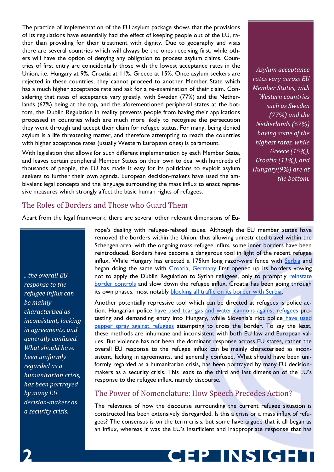The practice of implementation of the EU asylum package shows that the provisions of its regulations have essentially had the effect of keeping people out of the EU, rather than providing for their treatment with dignity. Due to geography and visas there are several countries which will always be the ones receiving first, while others will have the option of denying any obligation to process asylum claims. Countries of first entry are coincidentally those with the lowest acceptance rates in the Union, i.e. Hungary at 9%, Croatia at 11%, Greece at 15%. Once asylum seekers are rejected in these countries, they cannot proceed to another Member State which has a much higher acceptance rate and ask for a re-examination of their claim. Considering that rates of acceptance vary greatly, with Sweden (77%) and the Netherlands (67%) being at the top, and the aforementioned peripheral states at the bottom, the Dublin Regulation in reality prevents people from having their applications processed in countries which are much more likely to recognise the persecution they went through and accept their claim for refugee status. For many, being denied asylum is a life threatening matter, and therefore attempting to reach the countries with higher acceptance rates (usually Western European ones) is paramount.

With legislation that allows for such different implementation by each Member State, and leaves certain peripheral Member States on their own to deal with hundreds of thousands of people, the EU has made it easy for its politicians to exploit asylum seekers to further their own agenda. European decision-makers have used the ambivalent legal concepts and the language surrounding the mass influx to enact repressive measures which strongly affect the basic human rights of refugees.

### *Asylum acceptance rates vary across EU Member States, with Western countries such as Sweden (77%) and the Netherlands (67%) having some of the highest rates, while Greece (15%), Croatia (11%), and Hungary(9%) are at the bottom.*

#### The Roles of Borders and Those who Guard Them

Apart from the legal framework, there are several other relevant dimensions of Eu-

*...the overall EU response to the refugee influx can be mainly characterised as inconsistent, lacking in agreements, and generally confused. What should have been uniformly regarded as a humanitarian crisis, has been portrayed by many EU decision-makers as a security crisis.*

rope's dealing with refugee-related issues. Although the EU member states have removed the borders within the Union, thus allowing unrestricted travel within the Schengen area, with the ongoing mass refugee influx, some inner borders have been reintroduced. Borders have become a dangerous tool in light of the recent refugee influx. While Hungary has erected a 175km long razor-wire fence with [Serbia](http://www.theguardian.com/world/2015/jun/17/hungary-closes-border-serbia-starts-building-fence-bar-migrants) and began doing the same with *Croatia*, [Germany](http://www.theatlantic.com/international/archive/2015/09/germany-merkel-refugee-asylum/405058/) first opened up its borders vowing not to apply the Dublin Regulation to Syrian refugees, only to promptly reinstate [border controls](http://www.spiegel.de/international/europe/germany-introduces-border-controls-to-slow-refugee-influx-a-1052840.html) and slow down the refugee influx. Croatia has been going through its own phases, most notably **blocking all traffic on its border with Serbia**.

Another potentially repressive tool which can be directed at refugees is police action. Hungarian polic[e have used tear gas and water cannons against refugees](http://www.aljazeera.com/news/2015/09/hungary-tear-gas-water-cannon-refugees-150916140918312.html) protesting and demanding entry into Hungary, while Slovenia's riot police have used [pepper spray against refugees](http://www.nytimes.com/aponline/2015/09/18/world/europe/ap-eu-europe-migrants-the-latest.html) attempting to cross the border. To say the least, these methods are inhumane and inconsistent with both EU law and European values. But violence has not been the dominant response across EU states, rather the overall EU response to the refugee influx can be mainly characterised as inconsistent, lacking in agreements, and generally confused. What should have been uniformly regarded as a humanitarian crisis, has been portrayed by many EU decisionmakers as a security crisis. This leads to the third and last dimension of the EU's response to the refugee influx, namely discourse.

#### The Power of Nomenclature: How Speech Precedes Action?

The relevance of how the discourse surrounding the current refugee situation is constructed has been extensively disregarded. Is this a crisis or a mass influx of refugees? The consensus is on the term crisis, but some have argued that it all began as an influx, whereas it was the EU's insufficient and inappropriate response that has

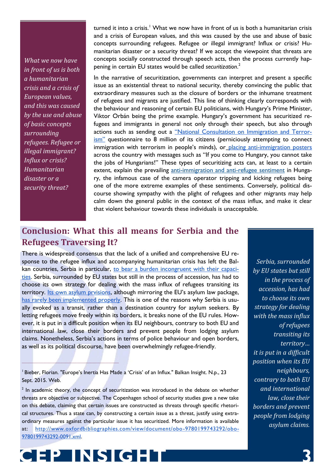*What we now have in front of us is both a humanitarian crisis and a crisis of European values, and this was caused by the use and abuse of basic concepts surrounding refugees. Refugee or illegal immigrant? Influx or crisis? Humanitarian disaster or a security threat?* 

turned it into a crisis.<sup>1</sup> What we now have in front of us is both a humanitarian crisis and a crisis of European values, and this was caused by the use and abuse of basic concepts surrounding refugees. Refugee or illegal immigrant? Influx or crisis? Humanitarian disaster or a security threat? If we accept the viewpoint that threats are concepts socially constructed through speech acts, then the process currently happening in certain EU states would be called *securitization*. 2

In the narrative of securitization, governments can interpret and present a specific issue as an existential threat to national security, thereby convincing the public that extraordinary measures such as the closure of borders or the inhumane treatment of refugees and migrants are justified. This line of thinking clearly corresponds with the behaviour and reasoning of certain EU politicians, with Hungary's Prime Minister, Viktor Orbán being the prime example. Hungary's government has securitized refugees and immigrants in general not only through their speech, but also through actions such as sending out a ["National Consultation on Immigration and Terror](http://www.kormany.hu/en/prime-minister-s-office/news/national-consultation-on-immigration-to-begin)[ism"](http://www.kormany.hu/en/prime-minister-s-office/news/national-consultation-on-immigration-to-begin) questionnaire to 8 million of its citizens (perniciously attempting to connect immigration with terrorism in people's minds), or [placing anti-immigration posters](http://www.bbc.co.uk/monitoring/hungarian-antiimmigration-posters-spark-outrage) across the country with messages such as "If you come to Hungary, you cannot take the jobs of Hungarians!" These types of securitizing acts can, at least to a certain extent, explain the prevailing [anti-immigration and anti-refugee sentiment](http://www.dw.com/en/un-agency-claims-hungarian-government-increasingly-vilifies-refugees/a-18440485) in Hungary, the infamous case of [th](http://www.theguardian.com/world/2015/sep/08/hungarian-nationalist-tv-camera-operator-filmed-kicking-refugee-children)e camera operator tripping and kicking refugees being one of the more extreme examples of these sentiments. Conversely, political discourse showing sympathy with the plight of refugees and other migrants may help calm down the general public in the context of the mass influx, and make it clear that violent behaviour towards these individuals is unacceptable.

# **Conclusion: What this all means for Serbia and the Refugees Traversing It?**

There is widespread consensus that the lack of a unified and comprehensive EU response to the refugee influx and accompanying humanitarian crisis has left the Bal-kan countries, Serbia in particular[, to bear a burden incongruent with their capaci](http://www.theguardian.com/commentisfree/2015/sep/02/eu-balkans-refugee-crisis-serbia)[ties.](http://www.theguardian.com/commentisfree/2015/sep/02/eu-balkans-refugee-crisis-serbia) Serbia, surrounded by EU states but still in the process of accession, has had to choose its own strategy for dealing with the mass influx of refugees transiting its territory[. Its own asylum prvisions](http://www.paragraf.rs/propisi/zakon_o_azilu.html),although mirroring the EU's asylum law package, [has rarely been implemented properly.](http://pescanik.net/sta-se-mora-reci-o-pravu-na-azil-u-srbiji/) This is one of the reasons why Serbia is usually evoked as a transit, rather than a destination country for asylum seekers. By letting refugees move freely within its borders, it breaks none of the EU rules. However, it is put in a difficult position when its EU neighbours, contrary to both EU and international law, close their borders and prevent people from lodging asylum claims. Nonetheless, Serbia's actions in terms of police behaviour and open borders, as well as its political discourse, have been overwhelmingly refugee-friendly.

<sup>1</sup> Bieber, Florian. "Europe's Inertia Has Made a 'Crisis' of an Influx." Balkan Insight. N.p., 23 Sept. 2015. Web.

 $2$  In academic theory, the concept of securitization was introduced in the debate on whether threats are objective or subjective. The Copenhagen school of security studies gave a new take on this debate, claiming that certain issues are constructed as threats through specific rhetorical structures. Thus a state can, by constructing a certain issue as a threat, justify using extraordinary measures against the particular issue it has securitized. More information is available at: [http://www.oxfordbibliographies.com/view/document/obo-9780199743292/obo-](http://www.oxfordbibliographies.com/view/document/obo-9780199743292/obo-9780199743292-0091.xml)[9780199743292-0091.xml.](http://www.oxfordbibliographies.com/view/document/obo-9780199743292/obo-9780199743292-0091.xml)

**CEP INSIGHT 3**

*Serbia, surrounded by EU states but still in the process of accession, has had to choose its own strategy for dealing with the mass influx of refugees transiting its territory… it is put in a difficult position when its EU neighbours, contrary to both EU and international law, close their borders and prevent people from lodging asylum claims.*